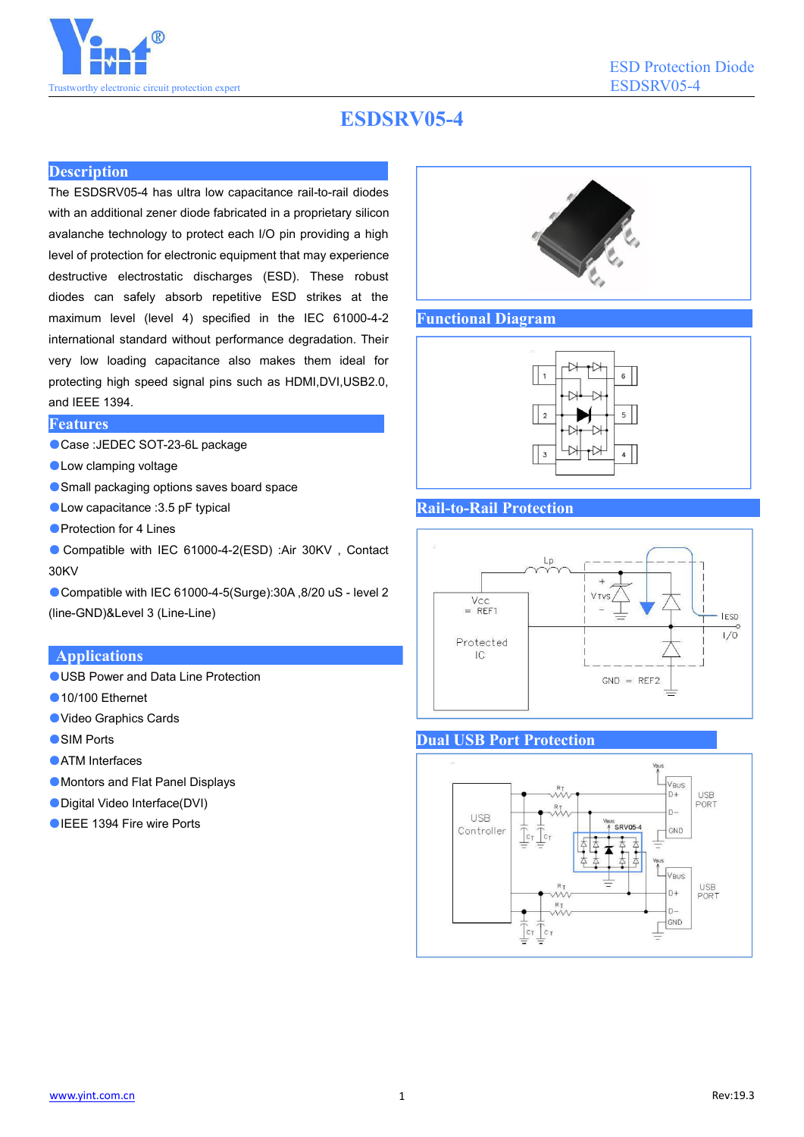

# **ESDSRV05-4**

### **Description**

The ESDSRV05-4 has ultra low capacitance rail-to-rail diodes with an additional zener diode fabricated in a proprietary silicon avalanche technology to protect each I/O pin providing a high level of protection for electronic equipment that may experience destructive electrostatic discharges (ESD). These robust diodes can safely absorb repetitive ESD strikes at the maximum level (level 4) specified in the IEC 61000-4-2 international standard without performance degradation. Their very low loading capacitance also makes them ideal for protecting high speed signal pins such as HDMI,DVI,USB2.0, and IEEE 1394.

## **Features**

- Case :JEDEC SOT-23-6L package
- ●Low clamping voltage
- Small packaging options saves board space
- Low capacitance : 3.5 pF typical
- Protection for 4 Lines
- Compatible with IEC 61000-4-2(ESD) :Air 30KV, Contact 30KV

Compatible with IEC 61000-4-5(Surge):30A ,8/20 uS - level 2 (line-GND)&Level 3 (Line-Line)

### **Applications**

- ●USB Power and Data Line Protection
- ●10/100 Fthernet
- ●Video Graphics Cards
- SIM Ports
- ATM Interfaces
- ●Montors and Flat Panel Displays
- ●Digital Video Interface(DVI)
- ●IEEE 1394 Fire wire Ports



#### **Functional Diagram**



#### **Rail-to-Rail Protection**



#### **Dual USB Port Protection**

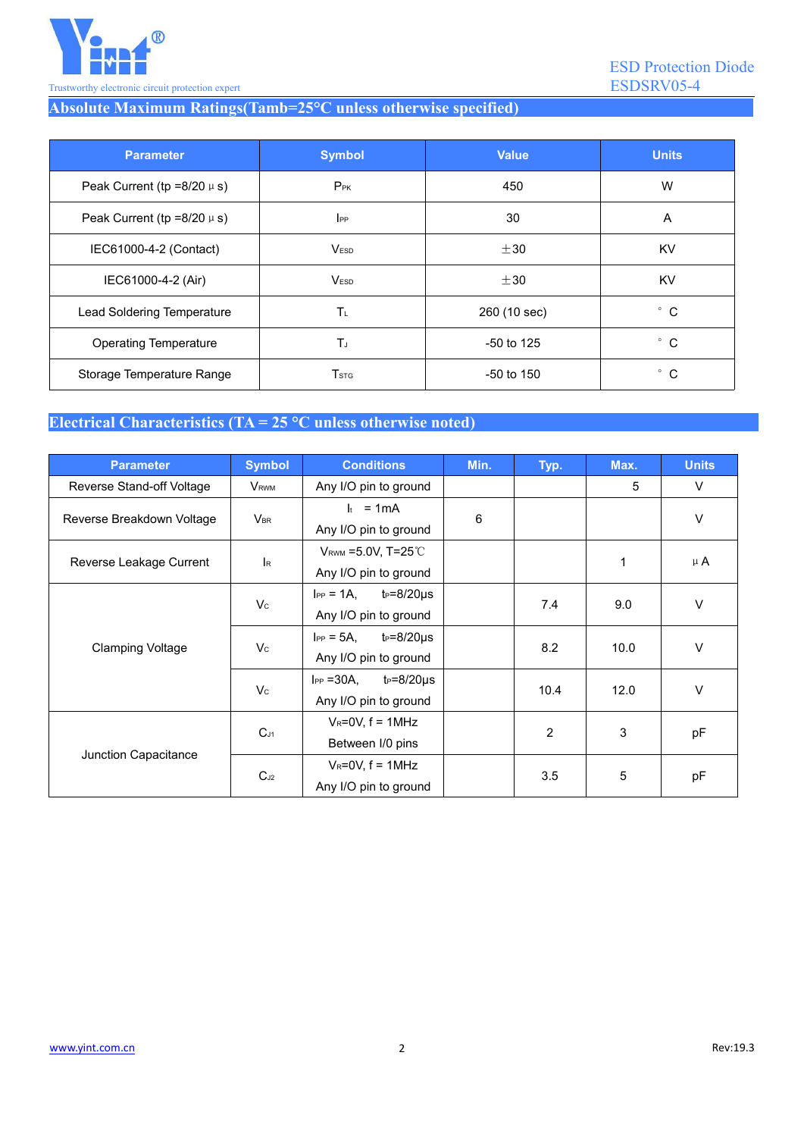

# **Absolute Maximum Ratings(Tamb=25°C unless otherwise specified)**

| <b>Parameter</b>                  | <b>Symbol</b>    | <b>Value</b> | <b>Units</b> |
|-----------------------------------|------------------|--------------|--------------|
| Peak Current (tp = $8/20 \mu s$ ) | $P_{PK}$         | 450          | W            |
| Peak Current (tp = $8/20 \mu s$ ) | $_{\rm lPP}$     | 30           | A            |
| IEC61000-4-2 (Contact)            | V <sub>ESD</sub> | $\pm 30$     | <b>KV</b>    |
| IEC61000-4-2 (Air)                | V <sub>ESD</sub> | $\pm 30$     | <b>KV</b>    |
| Lead Soldering Temperature        | $T_L$            | 260 (10 sec) | $^{\circ}$ C |
| <b>Operating Temperature</b>      | TJ               | $-50$ to 125 | $^{\circ}$ C |
| Storage Temperature Range         | T <sub>STG</sub> | $-50$ to 150 | $^{\circ}$ C |

## **Electrical Characteristics (TA = 25 °C unless otherwise noted)**

| <b>Parameter</b>          | <b>Symbol</b>           | <b>Conditions</b>                         | Min. | Typ.           | Max. | <b>Units</b> |
|---------------------------|-------------------------|-------------------------------------------|------|----------------|------|--------------|
| Reverse Stand-off Voltage | V <sub>RWM</sub>        | Any I/O pin to ground                     |      |                | 5    | $\vee$       |
| Reverse Breakdown Voltage | $V_{\text{BR}}$         | $I_t = 1mA$                               | 6    |                |      | $\vee$       |
|                           |                         | Any I/O pin to ground                     |      |                |      |              |
| Reverse Leakage Current   | $\mathsf{I}_\mathsf{R}$ | $V_{\text{RWM}}$ =5.0V, T=25 $^{\circ}$ C |      |                | 1    | $\mu$ A      |
|                           |                         | Any I/O pin to ground                     |      |                |      |              |
| <b>Clamping Voltage</b>   | $V_c$                   | $I_{PP} = 1A$ ,<br>$t_P = 8/20 \mu s$     |      | 7.4            | 9.0  | $\vee$       |
|                           |                         | Any I/O pin to ground                     |      |                |      |              |
|                           | $V_{\rm C}$             | $I_{PP} = 5A$ ,<br>$t_P = 8/20 \mu s$     |      | 8.2            | 10.0 | $\vee$       |
|                           |                         | Any I/O pin to ground                     |      |                |      |              |
|                           | $V_c$                   | $I_{PP} = 30A$ ,<br>$t_P = 8/20 \mu s$    |      | 10.4           | 12.0 | $\vee$       |
|                           |                         | Any I/O pin to ground                     |      |                |      |              |
| Junction Capacitance      | $C_{J1}$                | $V_R = 0V$ , f = 1MHz                     |      | $\overline{2}$ | 3    | pF           |
|                           |                         | Between I/0 pins                          |      |                |      |              |
|                           | $C_{J2}$                | $V_R = 0V$ , $f = 1MHz$                   |      | 3.5            | 5    | pF           |
|                           |                         | Any I/O pin to ground                     |      |                |      |              |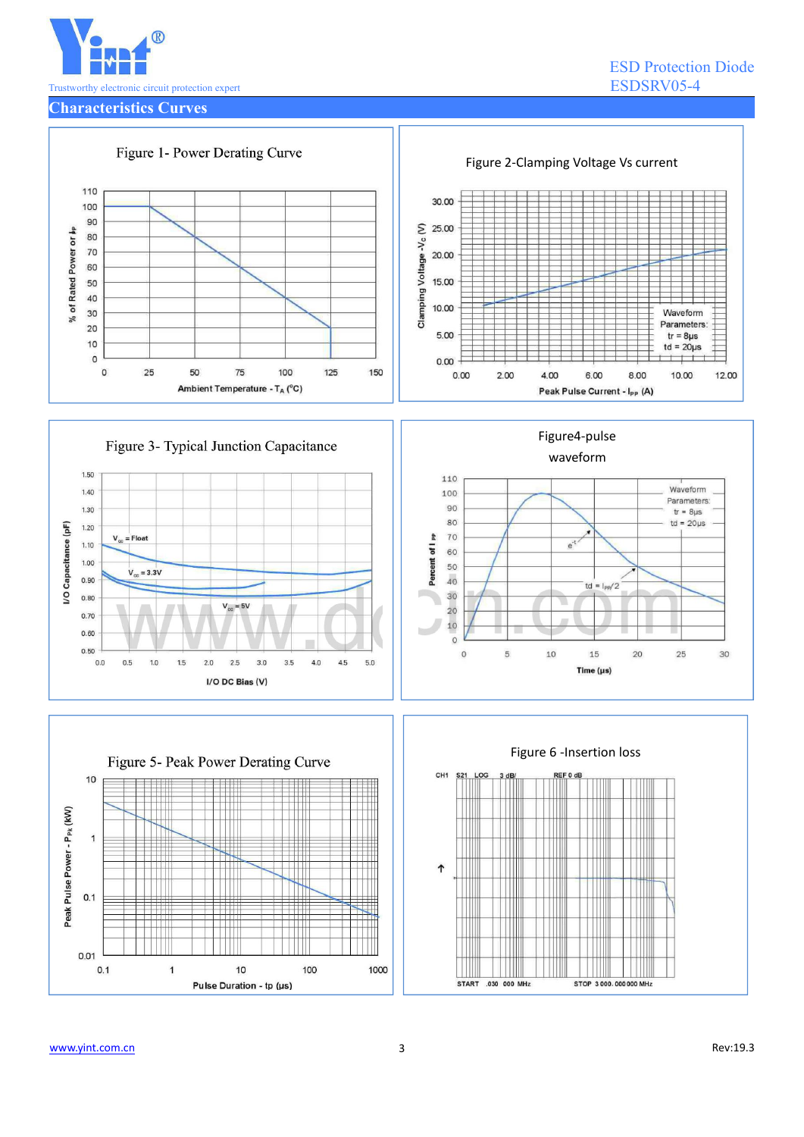

ESD Protection Diode

**Characteristics Curves**